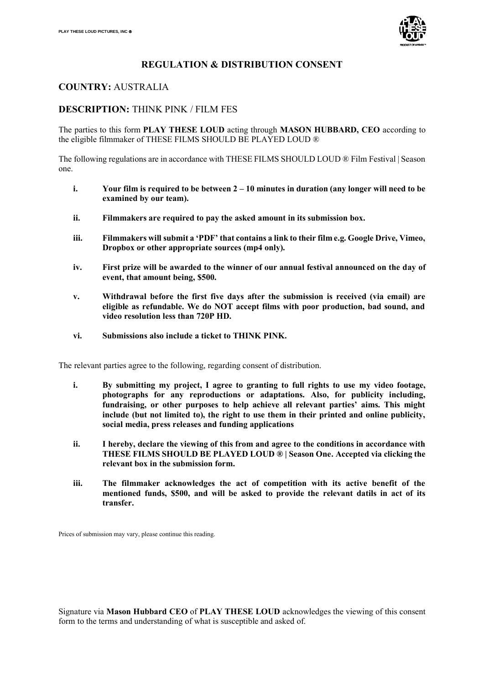

## **REGULATION & DISTRIBUTION CONSENT**

## **COUNTRY:** AUSTRALIA

## **DESCRIPTION:** THINK PINK / FILM FES

The parties to this form **PLAY THESE LOUD** acting through **MASON HUBBARD, CEO** according to the eligible filmmaker of THESE FILMS SHOULD BE PLAYED LOUD ®

The following regulations are in accordance with THESE FILMS SHOULD LOUD ® Film Festival | Season one.

- **i. Your film is required to be between 2 – 10 minutes in duration (any longer will need to be examined by our team).**
- **ii. Filmmakers are required to pay the asked amount in its submission box.**
- **iii. Filmmakers will submit a 'PDF' that contains a link to their film e.g. Google Drive, Vimeo, Dropbox or other appropriate sources (mp4 only).**
- **iv. First prize will be awarded to the winner of our annual festival announced on the day of event, that amount being, \$500.**
- **v. Withdrawal before the first five days after the submission is received (via email) are eligible as refundable. We do NOT accept films with poor production, bad sound, and video resolution less than 720P HD.**
- **vi. Submissions also include a ticket to THINK PINK.**

The relevant parties agree to the following, regarding consent of distribution.

- **i. By submitting my project, I agree to granting to full rights to use my video footage, photographs for any reproductions or adaptations. Also, for publicity including, fundraising, or other purposes to help achieve all relevant parties' aims. This might include (but not limited to), the right to use them in their printed and online publicity, social media, press releases and funding applications**
- **ii. I hereby, declare the viewing of this from and agree to the conditions in accordance with THESE FILMS SHOULD BE PLAYED LOUD ® | Season One. Accepted via clicking the relevant box in the submission form.**
- **iii. The filmmaker acknowledges the act of competition with its active benefit of the mentioned funds, \$500, and will be asked to provide the relevant datils in act of its transfer.**

Prices of submission may vary, please continue this reading.

Signature via **Mason Hubbard CEO** of **PLAY THESE LOUD** acknowledges the viewing of this consent form to the terms and understanding of what is susceptible and asked of.